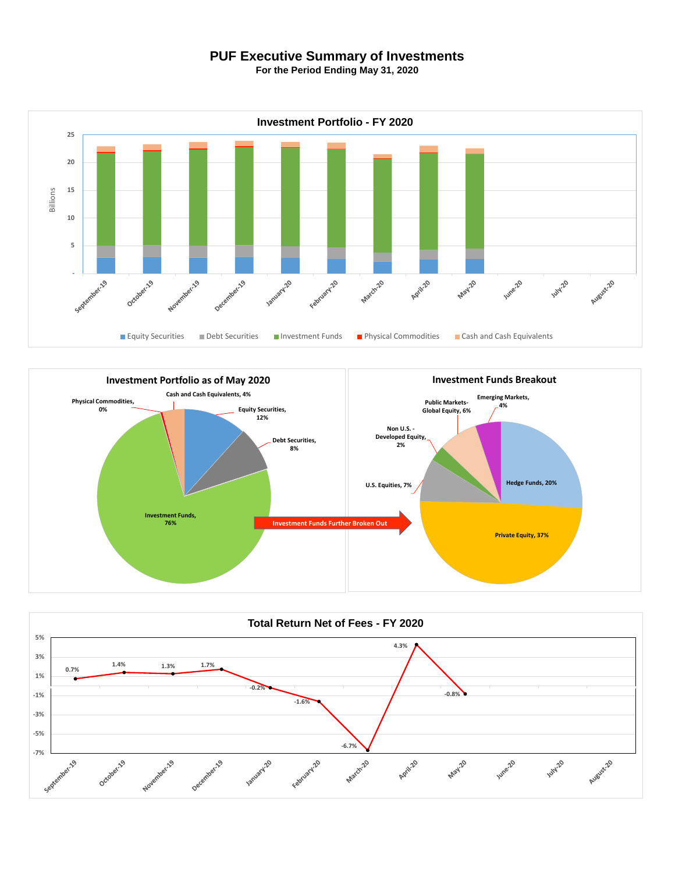## **PUF Executive Summary of Investments**

**For the Period Ending May 31, 2020**